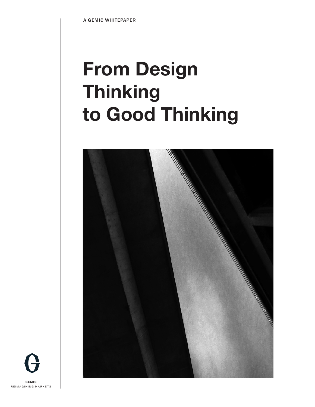# **From Design Thinking to Good Thinking**



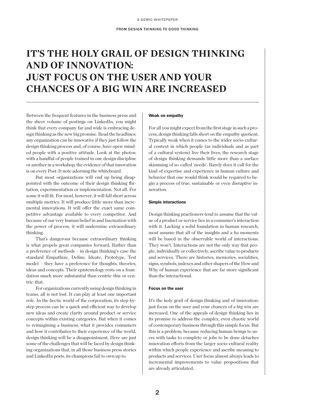# **IT'S THE HOLY GRAIL OF DESIGN THINKING AND OF INNOVATION: JUST FOCUS ON THE USER AND YOUR CHANCES OF A BIG WIN ARE INCREASED**

Between the frequent features in the business press and the sheer volume of postings on LinkedIn, you might think that every company far and wide is embracing design thinking as the new big promise. Read the headlines: any organization can be innovative if they just follow the design thinking process and, of course, have open-minded people with a positive attitude. Look at the photos: with a handful of people trained in one design discipline or another in a workshop, the evidence of that innovation is on every Post-It note adorning the whiteboard.

But most organizations will end up being disappointed with the outcome of their design thinking flirtation, experimentation or implementation. Not all. For some it will fit. For most, however, it will fall short across multiple metrics. It will produce little more than incremental innovations. It will offer the exact same competitive advantage available to every competitor. And because of our very human belief in and fascination with the power of process, it will undermine extraordinary thinking.

That's dangerous because extraordinary thinking is what propels great companies forward. Rather than a preference of methods – in design thinking's case the standard Empathize, Define, Ideate, Prototype, Test model – they have a preference for thoughts, theories, ideas and concepts. Their epistemology rests on a foundation much more substantial than centric-this or centric-that.

For organizations currently using design thinking in teams, all is not lost. It can play at least one important role. In the hectic world of the corporation, its step-bystep process can be a quick and efficient way to develop new ideas and create clarity around product or service concepts within existing categories. But when it comes to reimagining a business, what it provides consumers and how it contributes to their experience of the world, design thinking will be a disappointment. Here are just some of the challenges that will be faced by design thinking organizations that, in all those business press stories and LinkedIn posts, its champions fail to own up to.

#### Weak on empathy

For all you might expect from the first stage in such a process, design thinking falls short on the empathy quotient. Typically weak when it comes to the wider socio-cultural context in which people (as individuals and as part of a cultural system) live their lives, the research stage of design thinking demands little more than a surface skimming of so-called 'needs'. Rarely does it call for the kind of expertise and experience in human culture and behavior that one would think would be required to begin a process of true, sustainable or even disruptive innovation.

#### Simple interactions

Design thinking practioners tend to assume that the value of a product or service lies in a consumer's interaction with it. Lacking a solid foundation in human research, most assume that all of the insights and a-ha moments will be based in the observable world of interactions. They won't. Interactions are not the only way that people, individually or collectively, ascribe value to products and services. There are histories, memories, socialities, signs, symbols, indexes and other shapers of the How and Why of human experience that are far more significant than the interactional.

# Focus on the user

It's the holy grail of design thinking and of innovation: just focus on the user and your chances of a big win are increased. One of the appeals of design thinking lies in its promise to address the complex, even chaotic world of contemporary business through this simple focus. But this is a problem, because reducing human beings to users with tasks to complete or jobs to be done detaches innovation efforts from the larger socio-cultural reality within which people experience and ascribe meaning to products and services. User focus almost always leads to incremental improvements to value propositions that are already articulated.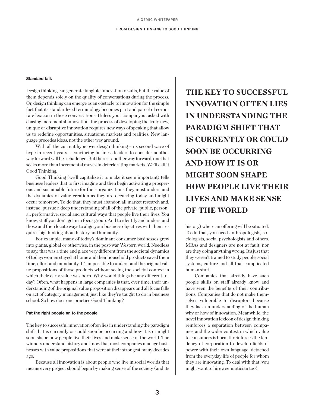#### FROM DESIGN THINKING TO GOOD THINKING

#### Standard talk

Design thinking can generate tangible innovation results, but the value of them depends solely on the quality of conversations during the process. Or, design thinking can emerge as an obstacle to innovation for the simple fact that its standardized terminology becomes part and parcel of corporate lexicon in those conversations. Unless your company is tasked with chasing incremental innovation, the process of developing the truly new, unique or disruptive innovation requires new ways of speaking that allow us to redefine opportunities, situations, markets and realities. New language precedes ideas, not the other way around.

With all the current hype over design thinking – its second wave of hype in recent years – convincing business leaders to consider another way forward will be a challenge. But there is another way forward, one that seeks more than incremental moves in deteriorating markets. We'll call it Good Thinking.

Good Thinking (we'll capitalize it to make it seem important) tells business leaders that to first imagine and then begin activating a prosperous and sustainable future for their organizations they must understand the dynamics of value creation as they are occurring today and might occur tomorrow. To do that, they must abandon all market research and, instead, pursue a deep understanding of all of the private, public, personal, performative, social and cultural ways that people live their lives. You know, stuff you don't get in a focus group. And to identify and understand those and then locate ways to align your business objectives with them requires big thinking about history and humanity.

For example, many of today's dominant consumer businesses grew into giants, global or otherwise, in the post-war Western world. Needless to say, that was a time and place very different from the societal dynamics of today: women stayed at home and their household products saved them time, effort and mundanity. It's impossible to understand the original value propositions of those products without seeing the societal context in which their early value was born. Why would things be any different today? Often, what happens in large companies is that, over time, their understanding of the original value proposition disappears and all focus falls on act of category management, just like they're taught to do in business school. So how does one practice Good Thinking?

# Put the right people on to the people

The key to successful innovation often lies in understanding the paradigm shift that is currently or could soon be occurring and how it is or might soon shape how people live their lives and make sense of the world. The winners understand history and know that most companies manage businesses with value propositions that were at their strongest many decades ago.

Because all innovation is about people who live in social worlds that means every project should begin by making sense of the society (and its **THE KEY TO SUCCESSFUL INNOVATION OFTEN LIES IN UNDERSTANDING THE PARADIGM SHIFT THAT IS CURRENTLY OR COULD SOON BE OCCURRING AND HOW IT IS OR MIGHT SOON SHAPE HOW PEOPLE LIVE THEIR LIVES AND MAKE SENSE OF THE WORLD**

history) where an offering will be situated. To do that, you need anthropologists, sociologists, social psychologists and others. MBAs and designers are not at fault, nor are they doing anything wrong. It's just that they weren't trained to study people, social systems, culture and all that complicated human stuff.

Companies that already have such people skills on staff already know and have seen the benefits of their contributions. Companies that do not make themselves vulnerable to disruptors because they lack an understanding of the human why or how of innovation. Meanwhile, the novel innovation lexicon of design thinking reinforces a separation between companies and the wider context in which value to consumers is born. It reinforces the tendency of corporation to develop fields of power with their own language, detached from the everyday life of people for whom they are innovating. To deal with that, you might want to hire a semiotician too!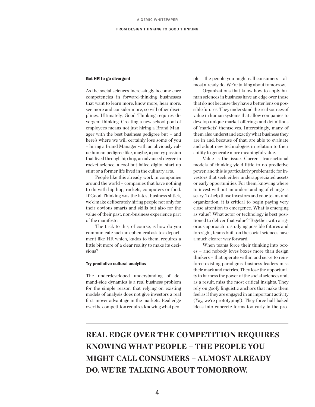#### FROM DESIGN THINKING TO GOOD THINKING

### Get HR to go divergent

As the social sciences increasingly become core competencies in forward-thinking businesses that want to learn more, know more, hear more, see more and consider more, so will other disciplines. Ultimately, Good Thinking requires divergent thinking. Creating a new school pool of employees means not just hiring a Brand Manager with the best business pedigree but – and here's where we will certainly lose some of you – hiring a Brand Manager with an obviously value human pedigree like, maybe, a poetry passion that lived through hip hop, an advanced degree in rocket science, a cool but failed digital start-up stint or a former life lived in the culinary arts.

People like this already work in companies around the world – companies that have nothing to do with hip hop, rockets, computers or food. If Good Thinking was the latest business shtick, we'd make deliberately hiring people not only for their obvious smarts and skills but also for the value of their past, non-business experience part of the manifesto.

The trick to this, of course, is how do you communicate such an ephemeral ask to a department like HR which, kudos to them, requires a little bit more of a clear reality to make its decisions?

#### Try predictive cultural analytics

The underdeveloped understanding of demand-side dynamics is a real business problem for the simple reason that relying on existing models of analysis does not give investors a real first-mover advantage in the markets. Real edge over the competition requires knowing what people – the people you might call consumers – almost already do. We're talking about tomorrow.

Organizations that know how to apply human sciences in business have an edge over those that do not because they have a better lens on possible futures. They understand the real sources of value in human systems that allow companies to develop unique market offerings and definitions of 'markets' themselves. Interestingly, many of them also understand exactly what business they are in and, because of that, are able to evaluate and adopt new technologies in relation to their ability to generate more meaningful value.

Value is the issue. Current transactional models of thinking yield little to no predictive power, and this is particularly problematic for investors that seek either underappreciated assets or early opportunities. For them, knowing where to invest without an understanding of change is scary. To help those investors and your teams and organization, it is critical to begin paying very close attention to emergence. What is emerging as value? What actor or technology is best positioned to deliver that value? Together with a rigorous approach to studying possible futures and foresight, teams built on the social sciences have a much clearer way forward.

When teams force their thinking into boxes – and nobody loves boxes more than design thinkers – that operate within and serve to reinforce existing paradigms, business leaders miss their mark and metrics. They lose the opportunity to harness the power of the social sciences and, as a result, miss the most critical insights. They rely on goofy linguistic anchors that make them feel as if they are engaged in an important activity (Yay, we're prototyping!). They force half-baked ideas into concrete forms too early in the pro-

**REAL EDGE OVER THE COMPETITION REQUIRES KNOWING WHAT PEOPLE – THE PEOPLE YOU MIGHT CALL CONSUMERS – ALMOST ALREADY DO. WE'RE TALKING ABOUT TOMORROW.**